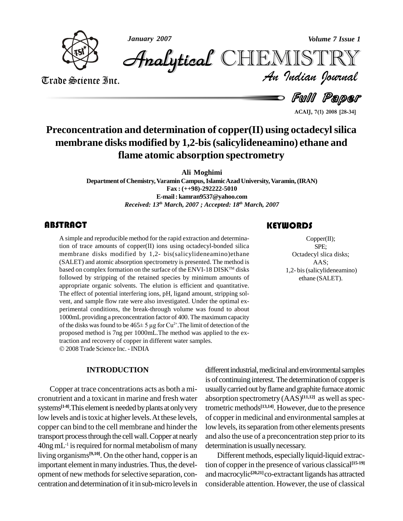

*January 2007 Volume 7 Issue 1*

*Volume 7 Issue 1*<br>IISTRY<br>Indian Iournal CHEMISTRY

Trade Science Inc. Trade Science Inc.

Full Paper

**ACAIJ, 7(1) <sup>2008</sup> [28-34]**

## **Preconcentration and determination of copper(II) using octadecylsilica membrane disks modified by 1,2-bis(salicylideneamino) ethane and flame atomic absorption spectrometry**

**Ali Moghimi**

**Department of Chemistry,VaraminCampus,IslamicAzadUniversity, Varamin,(IRAN) Fax : (++98)-292222-5010 E-mail: [kamran9537@yahoo.com](mailto:kamran9537@yahoo.com)** *Received: 13 th March, 2007 ; Accepted: 18 th March, 2007*

A simple and reproducit<br>tion of trace amounts c<br>membrane disks mod A simple and reproducible method for the rapid extraction and determination of trace amounts of copper $(II)$  ions using octadecyl-bonded silica membrane disks modified by 1,2- bis(salicylideneamino)ethane (SALET) and atomic absorption spectrometry is presented. The method is based on complex formation on the surface of the ENVI-18 DISK™ disks followed by stripping of the retained species by minimum amounts of appropriate organic solvents. The elution is efficient and quantitative. The effect of potential interfering ions, pH, ligand amount, stripping sol vent, and sample flow rate were also investigated. Under the optimal ex perimental conditions, the break-through volume was found to about 1000mL providing a preconcentration factor of 400. The maximumcapacity perimental conditions, the break-through volume was found to about 1000mL providing a preconcentration factor of 400. The maximum capacity of the disks was found to be  $465±5 \mu g$  for Cu<sup>2+</sup>. The limit of detection of the proposed method is 7ng per 1000mL.The method was applied to the extraction and recovery of copper in different water samples. 2008Trade Science Inc. -INDIA

**INTRODUCTION**

Copper at trace concentrations acts as both a mi cronutrient and a toxicant in marine and fresh water systems<sup>[1-8]</sup>.This element is needed by plants at only very trometr low levels and is toxic at higher levels. At these levels, copper can bind to the cell membrane and hinder the transport processthrough the cellwall.Copper at nearly  $40$ ng mL<sup>-1</sup> is required for normal metabolism of many determ living organisms<sup>[9,10]</sup>. On the other hand, copper is an **Difter the United State** important element in many industries. Thus, the development of new methods for selective separation, concentration and determination of it in sub-micro levels in

### **KEYWORDS**

Copper(II);<br>SPE;<br>Octadecyl slica disks; Copper(II); SPE; AAS; 1,2- bis(salicylideneamino) ethane (SALET).

different industrial, medicinal and environmental samples is of continuing interest. The determination of copper is usuallycarriedout byflame andgraphite furnace atomic absorption spectrometry  $(AAS)^{[11,12]}$  as well as spectrometric methods **[13,14]**. However, due to the presence of copperin medicinal and environmentalsamples at low levels, its separation from other elements presents and also the use of a preconcentration step prior to its determination is usually necessary.

Different methods, especially liquid-liquid extraction of copperin the presence of various classical **[15-19]** and macrocylic<sup>[20,21]</sup>co-extractant ligands has attracted considerable attention. However, the use of classical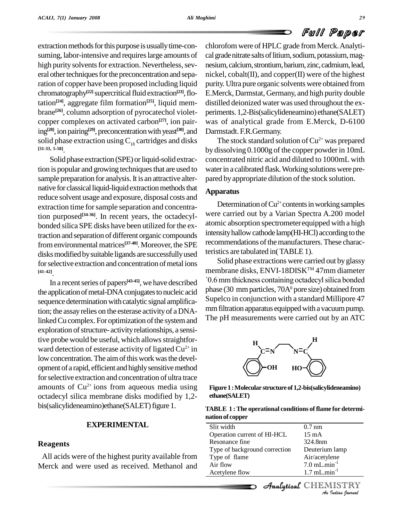extraction methods for this purpose is usually time-consuming, labor-intensive and requires large amounts of high purity solvents for extraction. Nevertheless, several other techniques for the preconcentration and separation of copper have been proposed including liquid chromatography<sup>[22]</sup> supercritical fluid extraction<sup>[23]</sup>, flotation **[24]**, aggregate film formation **[25]**, liquid mem brane<sup>[26]</sup>, column adsorption of pyrocatechol violet- peri copper complexes on activated carbon **[27]**, ion pairing<sup>[28]</sup>, ion pairing<sup>[29]</sup>, preconcentration with yeast<sup>[30]</sup>, and Darms solid phase extraction using  $C_{18}$  cartridges and disks **[31-33, 5-58]**.

Solid phase extraction (SPE) or liquid-solid extraction is popular and growing techniques that are used to sample preparation for analysis. It is an attractive alternative for classical liquid-liquid extraction methods that reduce solvent usage and exposure, disposal costs and extraction time forsample separation and concentration purposed **[34-36]**. In recent years, the octadecyl bonded silica SPE disks have been utilized for the extraction and separation of different organic compounds fromenvironmental matrices **[37-40]**. Moreover, the SPE disksmodifiedbysuitable ligands are successfullyused for selective extraction and concentration of metal ions

<sup>[41-42]</sup>. In a recent series of papers<sup>[43-45]</sup>, we have described <sup>70.6</sup> mi the application of metal-DNA conjugates to nucleic acid sequence determination with catalytic signal amplification; the assayrelies on the esterase activityof a DNAlinked Cu complex. For optimization of the system and exploration of structure- activity relationships, a sensitive probe would be useful, which allows straightforward detection of esterase activity of ligated Cu<sup>2+</sup> in low concentration. The aim of this work was the development of a rapid, efficient and highly sensitive method forselective extraction and concentration of ultra trace amounts of  $Cu^{2+}$  ions from aqueous media using Figure octadecyl silica membrane disks modified by 1,2 bis(salicylideneamino)ethane(SALET) figure 1.

#### **EXPERIMENTAL**

#### **Reagents**

All acids were of the highest purity available from Merck and were used as received. Methanol and

chlorofom were of HPLC grade from Merck. Analytical grade nitrate salts of litium, sodium, potassium, magnesium, calcium, strontium, barium, zinc, cadmium, lead, nickel, cobalt(II), and copper(II) were of the highest purity. Ultra pure organic solvents were obtained from E.Merck, Darmstat, Germany, and high purity double distilled deionized water was used throughout the ex periments. 1,2-Bis(salicylideneamino) ethane(SALET) was of analytical grade from E.Merck, D-6100 Darmstadt. F.R.Germany.

The stock standard solution of  $Cu^{2+}$  was prepared by dissolving 0.1000g of the copper powderin 10mL concentrated nitric acid and diluted to 1000mL with water in a calibrated flask. Working solutions were prepared by appropriate dilution of the stock solution.

#### **Apparatus**

Determination of Cu<sup>2+</sup> contents in working samples were carried out by a Varian Spectra A.200 model atomic absorption spectrometerequipped with a high intensity hallow cathode lamp(HI-HCl) according to the recommendations of the manufacturers. These characteristics are tabulated in(TABLE 1).

Solid phase extractions were carried out by glassy membrane disks, ENVI-18DISKTM 47mm diameter Solid phase extractions were carried out by glassy<br>nbrane disks, ENVI-18DISK™ 47mm diameter<br>mm thickness containing octadecyl silica bonded phase (30 mm particles,  $70A<sup>0</sup>$  pore size) obtained from Supelco in conjunction with a standard Millipore 47 mm filtration apparatus equipped with a vacuum pump. The pH measurements were carried out by an ATC



**Figure1 :Molecular structureof 1,2-bis(salicylideneamino) ethane(SALET)**

| <b>TABLE 1: The operational conditions of flame for determi-</b> |  |
|------------------------------------------------------------------|--|
| nation of copper                                                 |  |

| Slit width                    | $0.7 \text{ nm}$           |
|-------------------------------|----------------------------|
| Operation current of HI-HCL   | 15 mA                      |
| Resonance fine                | 324.8nm                    |
| Type of background correction | Deuterium lamp             |
| Type of flame                 | Air/acetylene              |
| Air flow                      | $7.0$ mL.min $^{-1}$       |
| Acetylene flow                | $1.7$ mL.min <sup>-1</sup> |
|                               | Analytical CHEMISTRY       |
|                               | An Indian Journal          |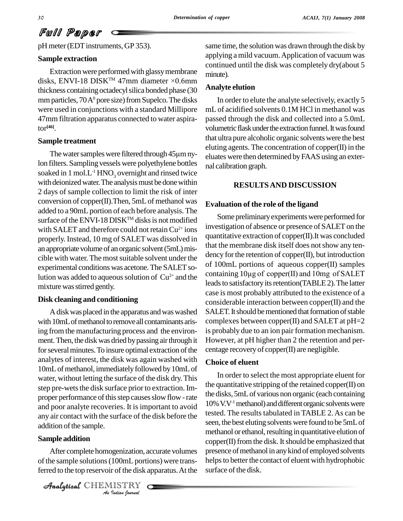# Full Paper

pH meter (EDT instruments, GP 353).

#### **Sample extraction**

Extraction were performed with glassy membrane disks, ENVI-18 DISKTM 47mm diameter ×0.6mm thickness containing octadecylsilica bonded phase (30 mm particles,  $70A<sup>0</sup>$  pore size) from Supelco. The disks were used in conjunctions with a standard Millipore 47mm filtration apparatus connected to water aspirator **[46]**.

#### **Sample treatment**

The water samples were filtered through  $45\mu$ m nylon filters. Sampling vessels were polyethylene bottles soaked in 1 mol. $L^1$  HNO<sub>3</sub> overnight and rinsed twice with deionized water. The analysis must be done within 2 days of sample collection to limit the risk of inter conversion of copper(II).Then, 5mLof methanol was added to a 90mL portion of each before analysis. The surface of the ENVI-18 DISK™ disks is not modified with SALET and therefore could not retain  $Cu^{2+}$  ions  $11V$ <sup>ex-1</sup> properly. Instead, 10 mg of SALET was dissolved in an appropriate volume of an organic solvent (5mL) miscible with water. The most suitable solvent under the experimental conditions was acetone. The SALET solution was added to aqueous solution of  $Cu^{2+}$  and the column mixture was stirred gently.

#### **Disk cleaning and conditioning**

Adiskwasplaced in the apparatus andwaswashed with 10mL of methanol to remove all contaminants arising from the manufacturing process and the environ ment. Then, the disk was dried by passing air through it for several minutes. To insure optimal extraction of the analytes of interest, the disk was again washed with 10mL of methanol, immediately followed by 10mL of water, without letting the surface of the disk dry.This step pre-wets the disk surface prior to extraction. Improper performance of this step causes slow flow - rate and poor analyte recoveries. It isimportant to avoid any air contact with the surface of the disk before the addition of the sample.

### Analytical**Sample addition**

**Indiana** *I*<br>*IOOmL porticly*<br>*IISTRY***<br>***Indian Iournal* After complete homogenization, accurate volumes of the sample solutions (100mL portions) were transferred to the top reservoir of the disk apparatus. At the

CHEMISTRY

same time, the solution was drawn through the disk by applying a mild vacuum.Application of vacuum was continued until the disk was completely dry(about 5 minute).

#### **Analyte elution**

In order to elute the analyte selectively, exactly 5 mL of acidified solvents 0.1M HCl in methanol was passed through the disk and collected into a 5.0mL volumetric flask under the extraction funnel. It was found that ultra pure alcoholic organic solvents were the best eluting agents. The concentration of copper(II) in the eluates were then determined byFAAS using an exter nal calibration graph.

#### **RESULTSAND DISCUSSION**

#### **Evaluation of the role of the ligand**

Some preliminaryexperimentswere performed for investigation of absence or presence of SALET on the quantitative extraction of copper(II).It was concluded that the membrane disk itself does not show any tendency for the retention of copper(II), but introduction<br>of 100mL portions of aqueous copper(II) samples<br>containing 10µg of copper(II) and 10mg of SALET of 100mL portions of aqueous copper(II) samples leads to satisfactory its retention(TABLE 2). The latter case is most probably attributed to the existence of a considerable interaction between copper(II) and the SALET. It should be mentioned that formation of stable complexes between copper(II) and SALET at  $pH=2$ is probably due to an ion pair formation mechanism. However, at pH higher than 2 the retention and per centage recovery of copper(II) are negligible.

#### **Choice of eluent**

In order to select the most appropriate eluent for the quantitative stripping of the retained copper $(II)$  on the disks, 5mLof various non organic (each containing 10% V.V<sup>-1</sup> methanol) and different organic solvents were tested. The results tabulated in TABLE 2. As can be seen, the best eluting solvents were found to be 5mLof methanol or ethanol, resulting in quantitative elution of copper(II) from the disk. It should be emphasized that presence of methanol in any kind of employed solvents helps to better the contact of eluent with hydrophobic surface of the disk.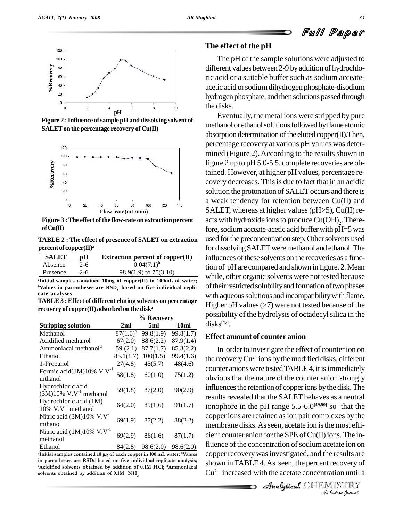

**Figure** 2 : Influence of sample pH and dissolving solvent of **SALETon thepercentage recovery of Cu(II)**



**Figure** 3 : The effect of the flow-rate on extraction percent **ofCu(II)**

**TABLE 2 : The effect of presence of SALET on extraction percent of copper(II) a**

| <b>SALET</b> | рH      | <b>Extraction percent of copper(II)</b> |  |
|--------------|---------|-----------------------------------------|--|
| Absence      | $2 - 6$ | $0.04(7.1)^{b}$                         |  |
| Presence     | $2-6$   | $98.9(1.9)$ to $75(3.10)$               |  |
|              |         |                                         |  |

**<sup>a</sup>Initial samples contained 10mg ofcopper(II) in 100mL of water; <sup>b</sup>Values in parentheses are RSD<sup>S</sup> based on five individual repli- cate analyses**

**TABLE3 :Effect of different eluting solvents on percentage recovery of copper(II) adsorbed on the disk a**

| 2ml<br>$87(1.6)^b$<br>67(2.0)<br>59(2.1)<br>85.1(1.7)<br>27(4.8)<br>58(1.8) | 5ml<br>99.8(1.9)<br>88.6(2.2)<br>87.7(1.7)<br>100(1.5)<br>45(5.7)<br>60(1.0) | 10ml<br>99.8(1.7)<br>87.9(1.4)<br>85.3(2.2)<br>99.4(1.6)<br>48(4.6)<br>75(1.2)                                                        |
|-----------------------------------------------------------------------------|------------------------------------------------------------------------------|---------------------------------------------------------------------------------------------------------------------------------------|
|                                                                             |                                                                              |                                                                                                                                       |
|                                                                             |                                                                              |                                                                                                                                       |
|                                                                             |                                                                              |                                                                                                                                       |
|                                                                             |                                                                              |                                                                                                                                       |
|                                                                             |                                                                              |                                                                                                                                       |
|                                                                             |                                                                              |                                                                                                                                       |
|                                                                             |                                                                              |                                                                                                                                       |
| 59(1.8)                                                                     | 87(2.0)                                                                      | 90(2.9)                                                                                                                               |
| 64(2.0)                                                                     | 89(1.6)                                                                      | 91(1.7)                                                                                                                               |
| 69(1.9)                                                                     | 87(2.2)                                                                      | 88(2.2)                                                                                                                               |
| 69(2.9)                                                                     | 86(1.6)                                                                      | 87(1.7)                                                                                                                               |
|                                                                             |                                                                              |                                                                                                                                       |
|                                                                             |                                                                              | $84(2.8)$ $98.6(2.0)$ $98.6(2.0)$<br><sup>a</sup> Initial samples contained 10 µg of each copper in 100 mL water; <sup>b</sup> Values |

in parentheses are RSDs based on five individual replicate analysis;  $\alpha$  **obtained** by addition of 0.1M **HCl**;  $\alpha$  **Ammoniacal** solvents obtained by addition of 0.1M  $NH$ 

#### **The effect of the pH**

The pH of the sample solutions were adjusted to different values between 2-9 by addition of hydrochloric acid or a suitable buffer such as sodium acceate acetic acid orsodiumdihydrogen phosphate-disodium hydrogen phosphate, and then solutions passed through the disks.

Eventually, the metal ions were stripped by pure methanol or ethanol solutions followed by flame atomic absorption determination of the eluted copper $(II)$ . Then, percentage recovery at various pH values was deter mined (Figure 2).According to the results shown in figure 2 up to pH 5.0-5.5, complete recoveries are obtained. However, at higher pH values, percentage re covery decreases. This is due to fact that in an acidic solution the protonation of SALET occurs and there is a weak tendency for retention between Cu(II) and SALET, whereas at higher values ( $pH$ >5), Cu(II) reacts with hydroxide ions to produce  $Cu(OH)_{2}$ . Therefore, sodium acceate-acetic acid buffer with pH=5 was used for the preconcentration step. Other solvents used for dissolving SALET were methanol and ethanol. The influences of these solvents on the recoveries as a function of pH are compared and shown in figure. 2. Mean while, other organic solvents were not tested because of their restricted solubility and formation of two phases with aqueous solutions and incompatibility with flame. Higher pH values  $(>7)$  were not tested because of the possibility of the hydrolysis of octadecyl silica in the disks **[47]**.

#### **Effect amount of counter anion**

cient counter anion for the SPE of Cu(II) ions. The in-*Ine metate ion on*<br>*P* results are<br>*P* recovery of<br>*I ISTRY*<br>*<i>I Indian Sparnal* From counter another are  $\frac{1}{2}$  of  $\frac{1}{2}$  on  $\frac{1}{2}$ , follows the in-In order to investigate the effect of counter ion on the recovery Cu<sup>2+</sup> ions by the modified disks, different counter anions were tested TABLE 4, it is immediately obvious that the nature of the counter anion strongly influences the retention of copper ions by the disk. The results revealed that the SALET behaves as a neutral ionophore in the pH range 5.5-6.0 **[49,50]** so that the copper ions are retained asion pair complexes by the membrane disks. As seen, acetate ion is the most efficopper recoverywasinvestigated, and the results are shown inTABLE 4.As seen, the percent recovery of Cu 2+ increased with the acetate concentration until a

CHEMISTRY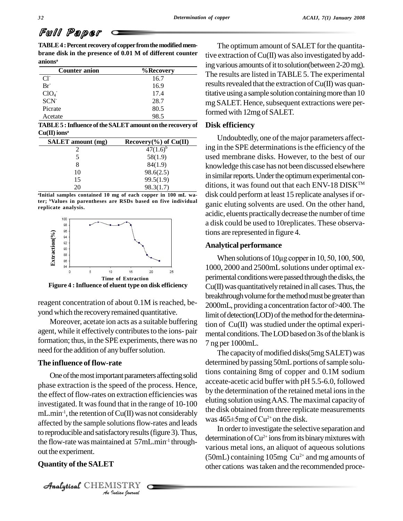# Full Paper

**TABLE4 :Percent recovery of copperfromthemodifiedmem brane disk in the presence of 0.01 M of different counter anions a**

| <b>Counter anion</b> | %Recovery |
|----------------------|-----------|
| $Cl^{\dagger}$       | 16.7      |
| $Br^{\dagger}$       | 16.9      |
| ClO <sub>4</sub>     | 17.4      |
| SCN <sup>-</sup>     | 28.7      |
| Picrate              | 80.5      |
| Acetate              | 98.5      |

**TABLE5 :Influence oftheSALETamount onthe recovery of**  $Cu(II)$  ions<sup>a</sup>

| <b>SALET</b> amount (mg) | Recovery $(\% )$ of Cu(II) |
|--------------------------|----------------------------|
|                          | $47(1.6)^{b}$              |
|                          | 58(1.9)                    |
|                          | 84(1.9)                    |
| 10                       | 98.6(2.5)                  |
| 15                       | 99.5(1.9)                  |
|                          | 98.3(1.7)                  |

**<sup>a</sup>Initial samples contained 10 mg of each copper in 100 mL water; <sup>b</sup>Values in parentheses are RSDs based on five individual replicate analysis.**



**Figure 4 :Influence of eluent type on disk efficiency**

reagent concentration of about 0.1M is reached, beyond which the recovery remained quantitative.

Moreover, acetate ion acts as a suitable buffering agent, while it effectively contributes to the ions- pair formation; thus, in the SPE experiments, there was no need for the addition of any buffer solution.

#### **The influence of flow-rate**

the flow-rate was maintained at 57mL.min<sup>-1</sup> through- *Indian Journal* One of the most important parameters affecting solid phase extraction is the speed of the process. Hence, the effect of flow-rates on extraction efficiencies was investigated. It was found that in the range of 10-100 mL.min<sup>-1</sup>, the retention of Cu(II) was not considerably affected by the sample solutions flow-rates and leads to reproducible and satisfactory results (figure 3). Thus, out the experiment.

#### **Quantity of the SALET**

CHEMISTRY

The optimum amount of SALET for the quantitative extraction of  $Cu(II)$  was also investigated by adding various amounts of it to solution(between 2-20 mg). The results are listed in TABLE 5. The experimental results revealed that the extraction of  $Cu(II)$  was quantitative using a sample solution containing more than 10 mg SALET. Hence, subsequent extractions were performed with 12mg of SALET.

#### **Disk efficiency**

Undoubtedly, one of the major parameters affecting in the SPE determinations is the efficiency of the used membrane disks. However, to the best of our knowledge this case has not been discussed elsewhere in similar reports. Under the optimum experimental conditions, it was found out that each ENV-18 DISK<sup>TM</sup> disk could perform at least 15 replicate analyses if organic eluting solvents are used. On the other hand, acidic, eluents practically decrease the number of time a disk could be used to 10replicates. These observations are represented in figure 4.

#### **Analytical performance**

When solutions of  $10\mu$ g copper in 10, 50, 100, 500, 1000, 2000 and 2500mL solutions under optimal ex perimental conditions were passed through the disks, the  $Cu(II)$  was quantitatively retained in all cases. Thus, the breakthrough volume for the method must be greater than 2000mL, providinga concentration factor of>400.The limit of detection(LOD) of the method for the determination of  $Cu(II)$  was studied under the optimal experimental conditions. The LOD based on 3s of the blank is 7 ng per 1000mL.

The capacity of modified disks(5mg SALET) was determined by passing 50mL portions of sample solutions containing 8mg of copper and 0.1M sodium acceate-acetic acid buffer with pH 5.5-6.0, followed by the determination of the retained metal ions in the eluting solution using AAS. The maximal capacity of<br>the disk obtained from three replicate measurements<br>was 465±5mg of Cu<sup>2+</sup> on the disk. the disk obtained from three replicate measurements was  $465 \pm 5$  mg of Cu<sup>2+</sup> on the disk.

In order to investigate the selective separation and determination of  $Cu^{2+}$  ions from its binary mixtures with various metal ions, an aliquot of aqueous solutions  $(50mL)$  containing 105mg  $Cu^{2+}$  and mg amounts of other cations wastaken and the recommended proce-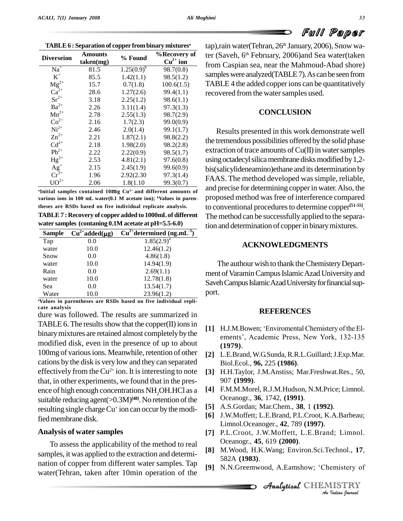| Diverseion                                       | Amounts<br>taken(mg) | % Found         | %Recovery of<br>$Cu2+$ ion |
|--------------------------------------------------|----------------------|-----------------|----------------------------|
| $Na+$                                            | 81.5                 | $1.25(0.9)^{b}$ | 98.7(0.8)                  |
| $K^+$                                            | 85.5                 | 1.42(1.1)       | 98.5(1.2)                  |
| $Mg^{2+}$                                        | 15.7                 | 0.7(1.8)        | 100.6(1.5)                 |
| $\tilde{Ca}^{2+}$                                | 28.6                 | 1.27(2.6)       | 99.4(1.1)                  |
| $\rm Sr^{2+}$                                    | 3.18                 | 2.25(1.2)       | 98.6(1.1)                  |
| $Ba^{2+}$                                        | 2.26                 | 3.11(1.4)       | 97.3(1.3)                  |
| $Mn^{2+}$                                        | 2.78                 | 2.55(1.3)       | 98.7(2.9)                  |
| $Co2+$                                           | 2.16                 | 1.7(2.3)        | 99.0(0.9)                  |
| $Ni2+$                                           | 2.46                 | 2.0(1.4)        | 99.1(1.7)                  |
| $Zn^{2+}$                                        | 2.21                 | 1.87(2.1)       | 98.8(2.2)                  |
| $Cd^{2+}$                                        | 2.18                 | 1.98(2.0)       | 98.2(2.8)                  |
| $Pb^{2+}$                                        | 2.22                 | 2.22(0.9)       | 98.5(1.7)                  |
| $Hg^{2+}$                                        | 2.53                 | 4.81(2.1)       | 97.6(0.8)                  |
|                                                  | 2.15                 | 2.45(1.9)       | 99.6(0.9)                  |
| $\begin{array}{c} Ag^{+} \\ Cr^{3+} \end{array}$ | 1.96                 | 2.92(2.30)      | 97.3(1.4)                  |
| ${\rm UO}^{2+}$                                  | 2.06                 | 1.8(1.10)       | 99.3(0.7)                  |

**<sup>a</sup>Initial samples contained 10mg Cu 2+ and different amounts of various ions in 100 mL water(0.1 M acetate ion); <sup>b</sup>Values in parentheses are RSDs based on five individual replicate analysis.**

**TABLE7 : Recovery of copper added to 1000mLof different water samples (contaning 0.1M acetate at pH=5.5-6.0) 2+** added to 1000<br>**2+** added(µg) Cu<sup>2+</sup>determi

| <b>Sample</b> | $Cu^{2+}added(\mu g)$ | $Cu^{2+}$ determined (ng.mL <sup>-1</sup> ) |       |
|---------------|-----------------------|---------------------------------------------|-------|
| Tap           | 0.0                   | $1.85(2.9)^a$                               |       |
| water         | 10.0                  | 12.46(1.2)                                  |       |
| Snow          | 0.0                   | 4.86(1.8)                                   |       |
| water         | 10.0                  | 14.94(1.9)                                  | Ί     |
| Rain          | 0.0                   | 2.69(1.1)                                   | ment  |
| water         | 10.0                  | 12.78(1.8)                                  | Savel |
| Sea           | 0.0                   | 13.54(1.7)                                  |       |
| Water         | 10.0                  | 23.96(1.2)                                  | port. |

**<sup>a</sup>Values in parentheses are RSDs based on five individual repli cate analysis**

dure was followed. The results are summarized in TABLE 6. The results show that the copper $(II)$  ions in modified disk, even in the presence of up to about 100mg of various ions. Meanwhile, retention of other cations by the disk is very low and they can separated effectively from the  $Cu^{2+}$  ion. It is interesting to note [3] F that, in other experiments, we found that in the presence of high enough concentrations NH<sub>2</sub>OH.HCl as a suitable reducing agent(>0.3M)<sup>[48]</sup>. No retention of the resulting single charge Cu<sup>+</sup> ion can occur by the modified membrane disk.

#### **Analysis of water samples**

To assess the applicability of the method to real samples, it was applied to the extraction and determi nation of copper from different water samples. Tap  $[9]$  N.N. Greenwood, A. Eamshow; 'Chemistery of water(Tehran, taken after 10min operation of the

tap),rain water(Tehran, 26<sup>th</sup> January, 2006), Snow water (Saveh, 6 th February, 2006)and Sea water(taken **ion** from Caspian sea, near the Mahmoud-Abad shore) samples were analyzed(TABLE 7). As can be seen from TABLE 4 the added copperions can be quantitatively recovered from the water samples used.

#### **CONCLUSION**

Results presented in this work demonstrate well the tremendous possibilities offered by the solid phase extraction of trace amounts of  $Cu(II)$  in water samples using octadecyl silica membrane disks modified by 1,2bis(salicylideneamino)ethane and its determination by FAAS. The method developed was simple, reliable, and precise for determining copperin water.Also, the proposed method wasfree of interference compared to conventional procedures to determine copper<sup>[51-55]</sup>. The method can be successfully applied to the separation and determination of copperin binarymixtures.

#### **ACKNOWLEDGMENTS**

The authour wish to thank the Chemistery Department of Varamin Campus Islamic Azad University and Saveh Campus Islamic Azad University for financial support.

#### **REFERENCES**

- binary mixtures are retained almost completely by the<br>ements', Academic Press, New York, 132-135 **EXEERENCES**<br>[1] H.J.M.Bowen; 'Enviromental Chemistery of the El-H.J.M.Bowen; 'Enviromental Chemistery of the El-<br>ements', Academic Press, New York, 132-135 **(1979)**.
	- **[2]** L.E.Brand,W.G.Sunda, R.R.L.Guillard;J.Exp.Mar. Biol.Ecol., **96,** 225 **(1986)**.
	- **[3]** H.H.Taylor, J.M.Anstiss; Mar.Freshwat.Res., 50, 907 **(1999)**.
	- **[4]** F.M.M.Morel, R.J.M.Hudson, N.M.Price; Limnol. Oceanogr., **36**, 1742, **(1991)**.
	- **[5]** A.S.Gordan; Mar.Chem., **38**, 1 **(1992)**.
	- **[6]** J.W.Moffett; L.E.Brand, P.L.Croot, K.A.Barbeau; Limnol.Oceanoger., **42**, 789 **(1997)**.
	- **[7]** P.L.Croot, J.W.Moffett, L.E.Brand; Limnol. Oceanogr., **45**, 619 **(2000)**.
	- **Indiana**<br> **IISTRY**<br> *IISTRY*<br> *I*udian Iournal **[8]** M.Wood, H.K.Wang; Environ.Sci.Technol., **17**, **[9]** N.N.Greemwood, A.Eamshow; ëChemistery of 582A **(1983)**.
	-